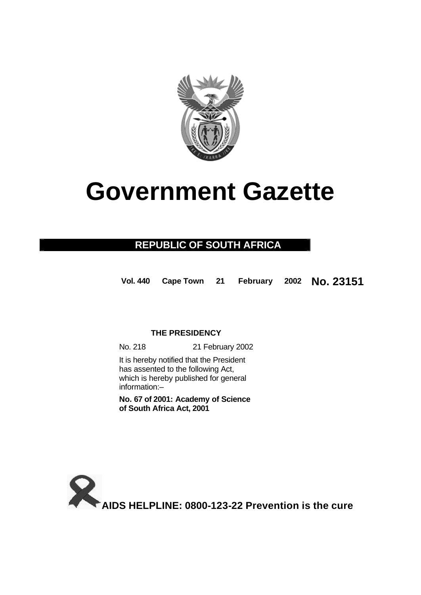

# **Government Gazette**

### **REPUBLIC OF SOUTH AFRICA**

**Vol. 440 Cape Town 21 February 2002 No. 23151**

#### **THE PRESIDENCY**

No. 218 21 February 2002

It is hereby notified that the President has assented to the following Act, which is hereby published for general information:–

**No. 67 of 2001: Academy of Science of South Africa Act, 2001**

**AIDS HELPLINE: 0800-123-22 Prevention is the cure**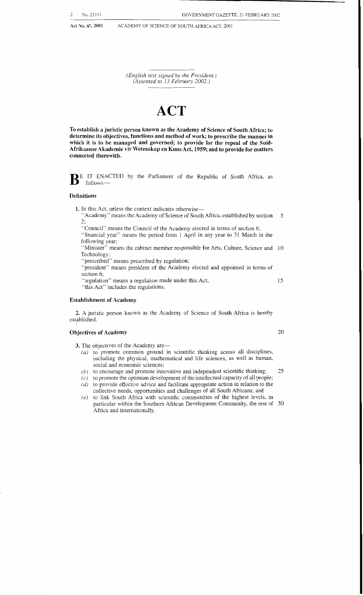*A-*

*(English text signed by the President.) (Assented to 13 February 2002.)* 

## **ACT**

**To establish a juristic person known as the Academy of Science of South Africa; to determine its objectives, functions and method of work; to prescribe the manner in which it is to be managed and governed; to provide for the repeal of the Suid-Afrikaanse Akademie vir Wetenskap en Kuns Act, 1959; and to provide for matters connected therewith.** 

**B** E IT ENACTED by the Parliament of the Republic of South Africa, as follows:-

#### **Definitions**

**1.** In this Act. unless the context indicates otherwise-

"Academy" means the Academy of Science of South Africa, established by section 5  $2:$ 

"Council" means the Council of the Academy elected in terms of section 6;

"financial year" means the period from 1 April in any year to 31 March in the following year;

"Minister'' means the cabinet member responsible for Arts, Culture, Science and 10 Technology;

"prescribed" means prescribed by regulation;

"president" means president of the Academy elected and appointed in terms of section 6;

"regulation" means a regulation made under this Act; 15 "this Act" includes the regulations.

#### **Establishment of Academy**

**2.** A juristic person known as the Academy of Science of South Africa is hereby established.

#### **Objectives of Academy** 20

**3.** The objectives of the Academy are-

- *(a)* to promote common ground in scientific thinking across all disciplines, including the physical, mathematical and life sciences, as well as human. social and economic sciences;
- *(b)* to encourage and promote innovative and independent scientific thinking; 2.5
- $(c)$  to promote the optimum development of the intellectual capacity of all people:
- *(d)* to provide effective advice and facilitate appropriate action in relation to the collective needs, opportunities and challenges of all South Africans; and
- *(e)* to link South Africa with scientific communities of the highest levels, in particular within the Southern African Development Community, the rest of 30 Africa and internationally.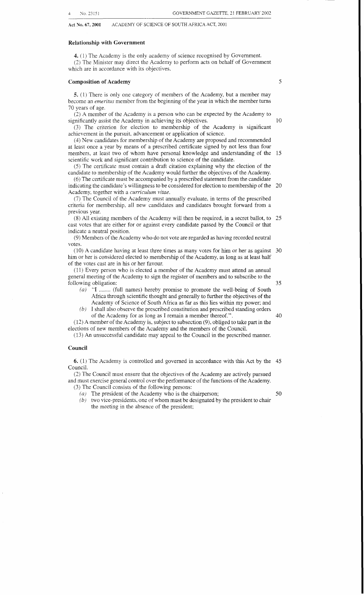<span id="page-2-0"></span>**Act Yo. 67,2001** ACADEMY OF SCIENCE OF SOUTH AFRICA ACT, 2001

#### **Relationship with Government**

**4.** (1) The Academy is the only academy of science recognised by Government. (2) The Minister may direct the Academy to perform acts on behalf of Government which are in accordance with its objectives.

#### **Composition of Academy** *5*

**5.** (1) There is only one category of members of the Academy, but a member may become an *emeritus* member from the beginning of the year in which the member turns 70 years of age.

(2) A member of the Academy is a person who can be expected by the Academy to significantly assist the Academy in achieving its objectives. 10

(3) The criterion for election to membership of the Academy is significant achievement in the pursuit, advancement or application of science.

(4) New candidates for membership of the Academy are proposed and recommended at least once a year by means of a prescribed certificate signed by not less than four members, at least two of whom have personal knowledge and understanding of the 15 scientific work and significant contribution to science of the candidate.

*(5)* The certificate must contain a draft citation explaining why the election of the candidate to membership of the Academy would further the objectives of the Academy.

(6) The certificate must be accompanied by a prescribed statement from the candidate indicating the candidate's willingness to be considered for election to membership of the 20 Academy, together with a *curriculum vitae.* 

*(7)* The Council of the Academy must annually evaluate, in terms of the prescribed criteria for membership, all new candidates and candidates brought forward from a previous year.

cast votes that are either for or against every candidate passed by the Council or that indicate a neutral position. (8) All existing members of the Academy will then be required, in a secret ballot, to 25

(9) Members of the Academy who do not vote are regarded as having recorded neutral votes.

(10) A candidate having at least three times as many votes for him or her as against 30 him or her is considered elected to membership of the Academy, as long as at least half of the votes cast are in his or her favour.

(11) Every person who is elected a member of the Academy must attend an annual general meeting of the Academy to sign the register of members and to subscribe to the following obligation: 35

- *(a)* "I ........ (full names) hereby promise to promote the well-being of South Africa through scientific thought and generally to further the objectives of the Academy of Science of South Africa as far as this lies within my power; and
- (b) I shall also observe the prescribed constitution and prescribed standing orders of the Academy for as long as I remain a member thereof.". 40

(12) A member of the Academy is, subject to subsection (9), obliged to take part in the elections of new members of the Academy and the members of the Council.

(13) An unsuccessful candidate may appeal to the Council in the prescribed manner.

#### **Council**

**6.** (1) The Academy is controlled and governed in accordance with this Act by the 45 Council.

(2) The Council must ensure that the objectives of the Academy are actively pursued and must exercise general control over the performance of the functions of the Academy. (3) The Council consists of the following persons:

- 
- *(a)* The president of the Academy who is the chair person; 50<br>*(b)* two vice-presidents, one of whom must be designated by the president to chair two vice-presidents, one of whom must be designated by the president to chair the meeting in the absence of the president;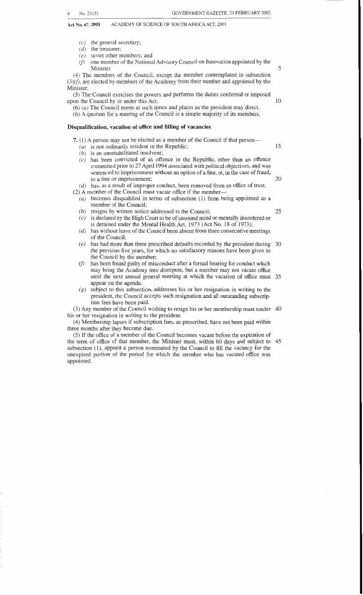$(c)$  the general secretary:

- 
- *(d)* the treasurer;<br>*(e)* seven other n seven other members; and
- $(f)$  one member of the National Advisory Council on Innovation appointed by the Minister.

(4) The members of the Council, except the member contemplated in subsection *(3)(f),* are elected by members of the Academy from their number and appointed by the Minister.

*(5)* The Council exercises the powers and performs the duties conferred or imposed upon the Council by or under this Act.

(6) *(a)* The Council meets at such times and places as the president may direct.

*(b)* **A** quorum for a meeting of the Council is a simple majority of its members.

#### **Disqualification, vacation of office and filling of vacancies**

- **7.** (1) A person may not be elected as a member of the Council if that person-
	- *(a)* is not ordinarily resident in the Republic;
	- *(b)* is an unrehabilitated insolvent;
	- $(c)$  has been convicted of an offence in the Republic, other than an offence committed prior to 27 April 1994 associated with political objectives, and was sentenced to imprisonment without an option of a fine, or, in the case of fraud, to a fine or imprisonment;

*(d)* has, as a result of improper conduct, been removed from an office of trust. (2) A member of the Council must vacate office if the member-

- *(a)* becomes disqualified in terms of subsection (1) from being appointed as a member of the Council;
- *(b)* resigns by written notice addressed to the Council:
- *(c)* is declared by the High Court to be of unsound mind or mentally disordered or is detained under the Mental Health Act, 1973 (Act No. 18 of 1973);
- *(d)* has without leave of the Council been absent from three consecutive meetings of the Council;
- *(e)* has had more than three prescribed defaults recorded by the president during 30 the previous five years, for which no satisfactory reasons have been given to the Council by the member;
- has been found guilty of misconduct after a formal hearing for conduct which may bring the Academy into disrepute, but a member may not vacate office until the next annual general meeting at which the vacation of office must 35 appear on the agenda.
- (g) subject to this subsection, addresses his or her resignation in writing to the president, the Council accepts such resignation and all outstanding subscription fees have been paid.

(3) Any member of the Council wishing to resign his or her membership must tender 40 his or her resignation in writing to the president.

(4) Membership lapses if subscription fees, as prescribed, have not been paid within three months after they become due.

*(5)* If the office of a member of the Council becomes vacant before the expiration of the term of office of that member, the Minister must, within 60 days and subject to subsection (I), appoint a person nominated by the Council to fill the vacancy for the unexpired portion of the period for which the member who has vacated office was appointed. 45

10

*5* 

15

25

20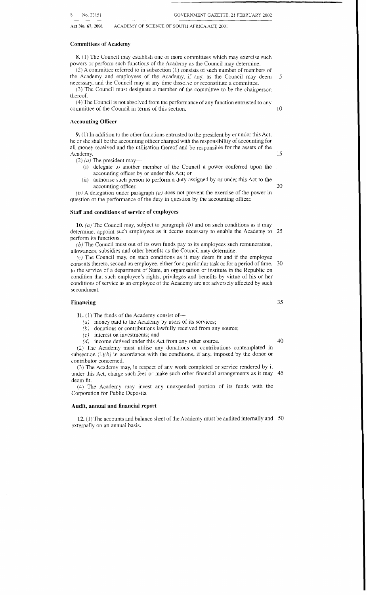~~~~

**Act No. 67,2001** ACADEMY OF SCIENCE OF SOUTH AFRICA ACT, 2001

#### **Committees of Academy**

**8.** (1) The Council may establish one or more committees which may exercise such powers or perform such functions of the Academy as the Council may determine.

*(3)* A committee referred to in subsection (1) consists of such number of members of the Academy and employees of the Academy, if any, as the Council may deem 5 necessary, and the Council may at any time dissolve or reconstitute a committee.

(3) The Council must designate a member of the committee to be the chairperson thereof.

(4) The Council is not absolved from the performance of any function entrusted to any committee of the Council in terms of this section. 10

#### **Accounting Officer**

**9.** ( 1) In addition to the other functions entrusted to the president by or under this Act, he or she shall be the accounting officer charged with the responsibility of accounting for all money received and the utilisation thereof and be responsible for the assets of the Academy. 15

(2) *(aj* The president may-

- (i) delegate to another member of the Council a power conferred upon the accounting officer by or under this Act; or
- (ii) authorise such person to perform a duty assigned by or under this Act to the accounting officer. 20

*(b)* A delegation under paragraph *(a)* does not prevent the exercise of the power in question or the performance of the duty in question by the accounting officer.

#### **Staff and conditions of service of employees**

**10.** *(a)* The Council may, subject to paragraph *(b)* and on such conditions as it may determine, appoint such employees as it deems necessary to enable the Academy to 25 perform its functions.

*(b)* The Council must out of its own funds pay to its employees such remuneration, allowances, subsidies and other benefits as the Council may determine.

*(c)* The Council may, on such conditions as it may deem fit and if the employee consents thereto, second an employee, either for a particular task or for a period of time. 30 to the service of a department of State, an organisation or institute in the Republic on condition that such employee's rights, privileges and benefits by virtue of his or her conditions of service as an employee of the Academy are not adversely affected by such secondment.

#### **Financing** *35*

**11.** (1) The funds of the Academy consist of-

*(a)* money paid to the Academy by users of its services;

*(b)* donations or contributions lawfully received from any source;

*(c)* interest on investments; and

*(d)* income derived under this Act from any other source. 40 *(2)* The Academy must utilise any donations or contributions contemplated in subsection  $(1)(b)$  in accordance with the conditions, if any, imposed by the donor or

contributor concerned. (3) The Academy may, in respect of any work completed or service rendered by it under this Act, charge such fees or make such other financial arrangements as it may 45 deem fit.

Corporation for Public Deposits. (4) The Academy may invest any unexpended portion of its funds with the

#### **Audit, annual and financial report**

**12.** (1) The accounts and balance sheet of the Academy must be audited internally and 50 externally on an annual basis.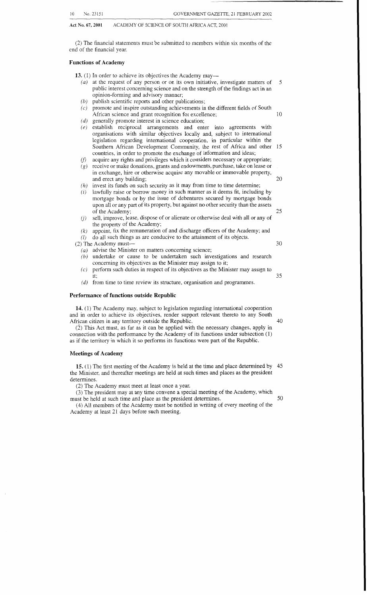**Act No. 67,2001** ACADEMY OF SCIENCE OF SOUTH AFRICA ACT, 2001

(2) The financial statements must be submitted to members within six months of the end of the financial year.

#### **Functions of Academy**

13. (1) In order to achieve its objectives the Academy may-

- (a) at the request of any person or on its own initiative, investigate matters of  $5$ public interest concerning science and on the strength of the findings act in an opinion-forming and advisory manner;
- $(b)$  publish scientific reports and other publications;
- promote and inspire outstanding achievements in the different fields of South  $(c)$ African science and grant recognition for excellence;  $10$
- $(d)$  generally promote interest in science education;
- $(e)$  establish reciprocal arrangements and enter into agreements with organisations with similar objectives locally and, subject to international legislation regarding international cooperation, in particular within the Southern African Development Community, the rest of Africa and other 15 countries, in order to promote the exchange of information and ideas;
- $(f)$ acquire any rights and privileges which it considers necessary or appropriate;
- $(g)$ receive or make donations, grants and endowments, purchase, take on lease or in exchange, hire or otherwise acquire any movable or immovable property, and erect any building; 20
- $i(h)$  invest its funds on such security as it may from time to time determine;
- $(i)$  lawfully raise or borrow money in such manner as it deems fit, including by mortgage bonds or by the issue of debentures secured by mortgage bonds upon all or any part of its property, but against no other security than the assets of the Academy;
- sell, improve, lease, dispose of or alienate or otherwise deal with all or any of  $(i)$ the property of the Academy;
- $(k)$  appoint, fix the remuneration of and discharge officers of the Academy; and
- (*l*) do all such things as are conducive to the attainment of its objects.  $(2)$  The Academy must— $(30)$
- 
- *(a)* advise the Minister on matters concerning science;
- *(b)* undertake or cause to be undertaken such investigations and research concerning its objectives as the Minister may assign to it;
- *(c)* perform such duties in respect of its objectives as the Minister may assign to 35  $it;$
- *(d)* from time to time review its structure, organisation and programmes.

#### **Performance of functions outside Republic**

**14.** (1) The Academy may, subject to legislation regarding international cooperation and in order to achieve its objectives, render support relevant thereto to any South African citizen in any territory outside the Republic. 40

(2) This Act must, as far as it can be applied with the necessary changes, apply in connection with the performance by the Academy of its functions under subsection (1) as if the territory in which it so performs its functions were part of the Republic.

#### **Meetings of Academy**

**15.** (1) The first meeting of the Academy is held at the time and place determined by 45 the Minister, and thereafter meetings are held at such times and places as the president determines.

(2) The Academy must meet at least once a year.

(3) The president may at any time convene a special meeting of the Academy, which must be held at such time and place as the president determines. 50

(4) All members of the Academy must be notified in writing of every meeting of the Academy at least 21 days before such meeting.

25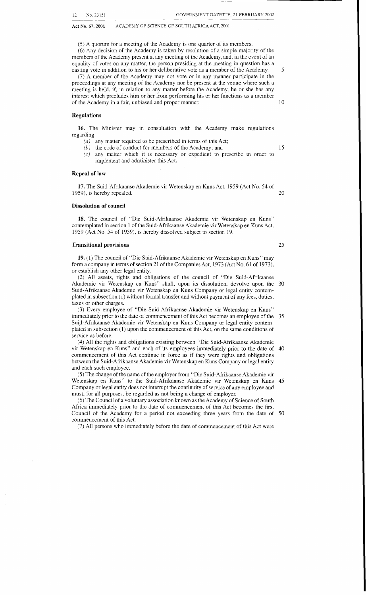**Act No. 67,2001** ACADEMY OF SCIENCE OF SOUTH AFRICA ACT, 2001

*(5)* A quorum for a meeting of the Academy is one quarter of its members. *(6)* Any decision *of* the Academy is taken by resolution of a simple majority of the members of the Academy present at any meeting of the Academy, and, in the event of an

equality of votes on any matter, the person presiding at the meeting in question has a

casting vote in addition to his or her deliberative vote as a member of the Academy. (7) A member of the Academy may not vote or in any manner participate in the proceedings at any meeting of the Academy nor be present at the venue where such a meeting is held, if, in relation to any matter before the Academy, he or she has any interest which precludes him or her from performing his or her functions as a member of the Academy in a fair, unbiased and proper manner.

#### **Regulations**

**16.** The Minister may in consultation with the Academy make regulations regarding-

- *(a)* any matter required to be prescribed in terms of this Act;
- *(b)* the code of conduct for members of the Academy; and
- *(c)* any matter which it is necessary or expedient to prescribe in order to implement and administer this Act.

#### **Repeal of law**

**17.** The Suid-Afrikaanse Akademie vir Wetenskap en Kuns Act, 1959 (Act No. 54 of 1959), is hereby repealed.

#### **Dissolution of council**

**18.** The council of "Die Suid-Afrikaanse Akademie vir Wetenskap en Kuns" contemplated in section 1 of the Suid-Afrikaanse Akademie vir Wetenskap en Kuns Act. 1959 (Act No. 54 of 1959), is hereby dissolved subject to section 19.

#### **Transitional provisions**

**19.** (1) The council of "Die Suid-Afrikaanse Akademie vir Wetenskap en Kuns" may form a company in terms of section 21 of the Companies Act, 1973 (Act No. 61 of 1973), or establish any other legal entity.

(2) All assets, rights and obligations of the council of "Die Suid-Afrikaanse Akademie vir Wetenskap en Kuns" shall, upon its dissolution, devolve upon the 30 Suid-Afrikaanse Akademie vir Wetenskap en Kuns Company or legal entity contemplated in subsection  $(1)$  without formal transfer and without payment of any fees, duties, taxes or other charges.

(3) Every employee of "Die Suid-Afrikaanse Akademie vir Wetenskap en Kuns" immediately prior to the date of commencement of this Act becomes an employee of the 35 Suid-Afrikaanse Akademie vir Wetenskap en Kuns Company or legal entity contemplated in subsection (1) upon the commencement of this Act, on the same conditions of service as before.

(4) All the rights and obligations existing between "Die Suid-Afrikaanse Akademie vir Wetenskap en Kuns" and each of its employees immediately prior to the date of 40 commencement of this Act continue in force as if they were rights and obligations between the Suid-Afrikaanse Akademie vir Wetenskap en Kuns Company or legal entity and each such employee.

*(5)* The change of the name of the employer from "Die Suid-Afrikaanse Akademie vir Wetenskap en Kuns" to the Suid-Afrikaanse Akademie vir Wetenskap en Kuns Company or legal entity does not interrupt the continuity of service of any employee and must, for all purposes, be regarded as not being a change of employer. 45

(6) The Council of a voluntary association known as the Academy of Science of South Africa immediately prior to the date of commencement of this Act becomes the first Council of the Academy for a period not exceeding three years from the date of *50* commencement of this Act.

(7) All persons who immediately before the date of commencement of this Act were

25

10

15

20

*5*